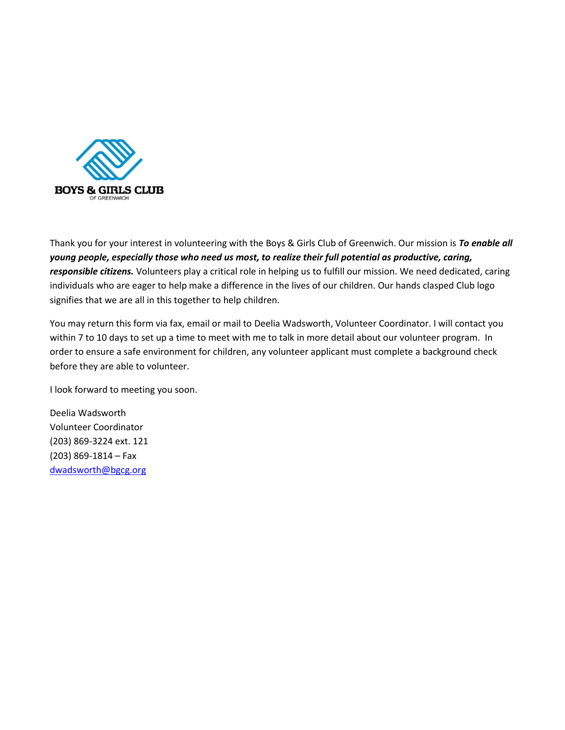

Thank you for your interest in volunteering with the Boys & Girls Club of Greenwich. Our mission is *To enable all young people, especially those who need us most, to realize their full potential as productive, caring, responsible citizens.* Volunteers play a critical role in helping us to fulfill our mission. We need dedicated, caring individuals who are eager to help make a difference in the lives of our children. Our hands clasped Club logo signifies that we are all in this together to help children.

You may return this form via fax, email or mail to Deelia Wadsworth, Volunteer Coordinator. I will contact you within 7 to 10 days to set up a time to meet with me to talk in more detail about our volunteer program. In order to ensure a safe environment for children, any volunteer applicant must complete a background check before they are able to volunteer.

I look forward to meeting you soon.

Deelia Wadsworth Volunteer Coordinator (203) 869-3224 ext. 121 (203) 869-1814 – Fax [dwadsworth@bgcg.org](mailto:lrundell@bgcg.org)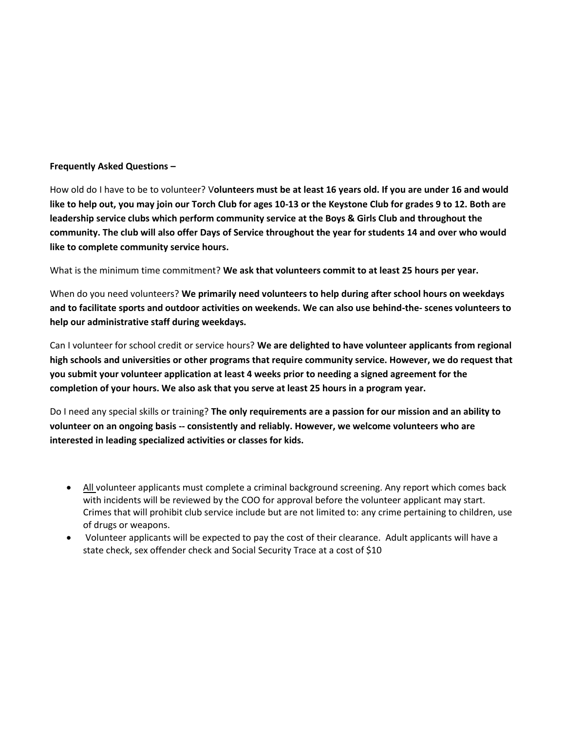## **Frequently Asked Questions –**

How old do I have to be to volunteer? V**olunteers must be at least 16 years old. If you are under 16 and would like to help out, you may join our Torch Club for ages 10-13 or the Keystone Club for grades 9 to 12. Both are leadership service clubs which perform community service at the Boys & Girls Club and throughout the community. The club will also offer Days of Service throughout the year for students 14 and over who would like to complete community service hours.**

What is the minimum time commitment? **We ask that volunteers commit to at least 25 hours per year.**

When do you need volunteers? **We primarily need volunteers to help during after school hours on weekdays and to facilitate sports and outdoor activities on weekends. We can also use behind-the- scenes volunteers to help our administrative staff during weekdays.**

Can I volunteer for school credit or service hours? **We are delighted to have volunteer applicants from regional high schools and universities or other programs that require community service. However, we do request that you submit your volunteer application at least 4 weeks prior to needing a signed agreement for the completion of your hours. We also ask that you serve at least 25 hours in a program year.**

Do I need any special skills or training? **The only requirements are a passion for our mission and an ability to volunteer on an ongoing basis -- consistently and reliably. However, we welcome volunteers who are interested in leading specialized activities or classes for kids.**

- All volunteer applicants must complete a criminal background screening. Any report which comes back with incidents will be reviewed by the COO for approval before the volunteer applicant may start. Crimes that will prohibit club service include but are not limited to: any crime pertaining to children, use of drugs or weapons.
- Volunteer applicants will be expected to pay the cost of their clearance. Adult applicants will have a state check, sex offender check and Social Security Trace at a cost of \$10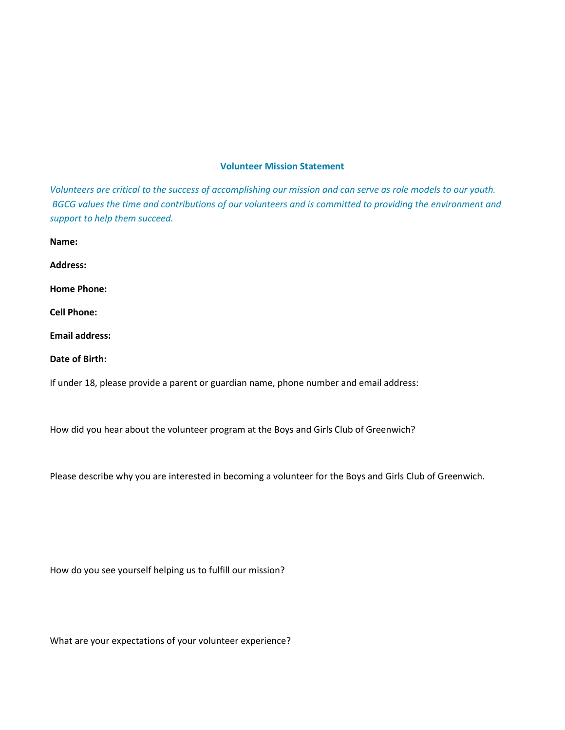## **Volunteer Mission Statement**

*Volunteers are critical to the success of accomplishing our mission and can serve as role models to our youth. BGCG values the time and contributions of our volunteers and is committed to providing the environment and support to help them succeed.*

**Address: Home Phone: Cell Phone: Email address: Date of Birth:**

**Name:**

If under 18, please provide a parent or guardian name, phone number and email address:

How did you hear about the volunteer program at the Boys and Girls Club of Greenwich?

Please describe why you are interested in becoming a volunteer for the Boys and Girls Club of Greenwich.

How do you see yourself helping us to fulfill our mission?

What are your expectations of your volunteer experience?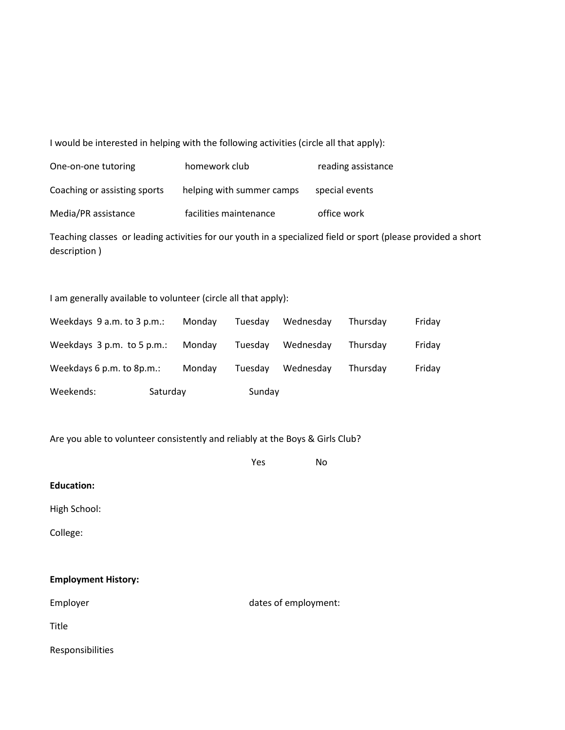I would be interested in helping with the following activities (circle all that apply):

| One-on-one tutoring          | homework club             | reading assistance |
|------------------------------|---------------------------|--------------------|
| Coaching or assisting sports | helping with summer camps | special events     |
| Media/PR assistance          | facilities maintenance    | office work        |

Teaching classes or leading activities for our youth in a specialized field or sport (please provided a short description )

I am generally available to volunteer (circle all that apply):

| Weekends:                  | Saturday |        | Sunday  |           |          |        |
|----------------------------|----------|--------|---------|-----------|----------|--------|
| Weekdays 6 p.m. to 8p.m.:  |          | Monday | Tuesday | Wednesday | Thursdav | Friday |
| Weekdays 3 p.m. to 5 p.m.: |          | Monday | Tuesday | Wednesday | Thursday | Friday |
| Weekdays 9 a.m. to 3 p.m.: |          | Monday | Tuesday | Wednesday | Thursdav | Friday |

Are you able to volunteer consistently and reliably at the Boys & Girls Club?

|                            | Yes                  | <b>No</b> |
|----------------------------|----------------------|-----------|
| <b>Education:</b>          |                      |           |
| High School:               |                      |           |
| College:                   |                      |           |
|                            |                      |           |
| <b>Employment History:</b> |                      |           |
| Employer                   | dates of employment: |           |
| Title                      |                      |           |
| Responsibilities           |                      |           |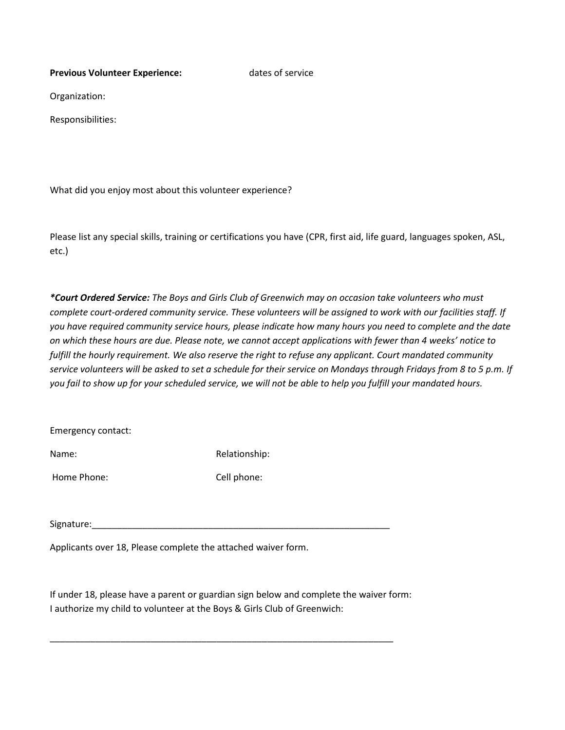**Previous Volunteer Experience:** dates of service

Organization:

Responsibilities:

What did you enjoy most about this volunteer experience?

Please list any special skills, training or certifications you have (CPR, first aid, life guard, languages spoken, ASL, etc.)

*\*Court Ordered Service: The Boys and Girls Club of Greenwich may on occasion take volunteers who must complete court-ordered community service. These volunteers will be assigned to work with our facilities staff. If you have required community service hours, please indicate how many hours you need to complete and the date on which these hours are due. Please note, we cannot accept applications with fewer than 4 weeks' notice to fulfill the hourly requirement. We also reserve the right to refuse any applicant. Court mandated community service volunteers will be asked to set a schedule for their service on Mondays through Fridays from 8 to 5 p.m. If you fail to show up for your scheduled service, we will not be able to help you fulfill your mandated hours.*

Emergency contact:

Name: Name: Relationship:

Home Phone: Cell phone:

Signature:

Applicants over 18, Please complete the attached waiver form.

If under 18, please have a parent or guardian sign below and complete the waiver form: I authorize my child to volunteer at the Boys & Girls Club of Greenwich:

\_\_\_\_\_\_\_\_\_\_\_\_\_\_\_\_\_\_\_\_\_\_\_\_\_\_\_\_\_\_\_\_\_\_\_\_\_\_\_\_\_\_\_\_\_\_\_\_\_\_\_\_\_\_\_\_\_\_\_\_\_\_\_\_\_\_\_\_